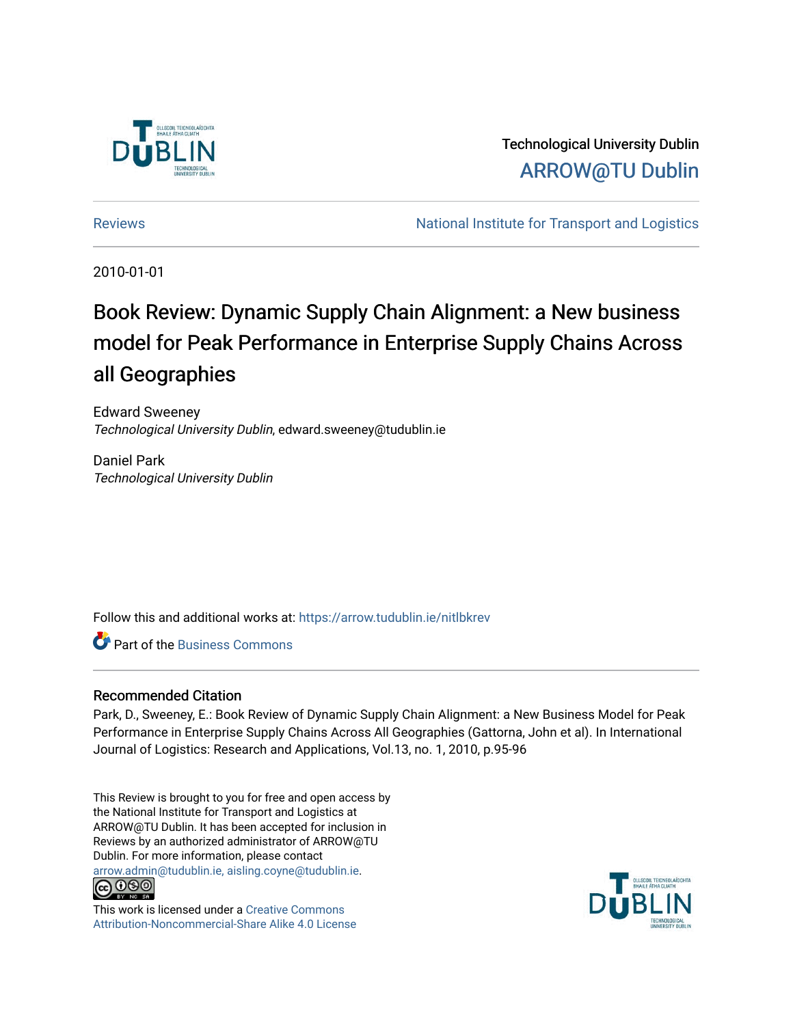

Technological University Dublin [ARROW@TU Dublin](https://arrow.tudublin.ie/) 

[Reviews](https://arrow.tudublin.ie/nitlbkrev) [National Institute for Transport and Logistics](https://arrow.tudublin.ie/nitl) 

2010-01-01

# Book Review: Dynamic Supply Chain Alignment: a New business model for Peak Performance in Enterprise Supply Chains Across all Geographies

Edward Sweeney Technological University Dublin, edward.sweeney@tudublin.ie

Daniel Park Technological University Dublin

Follow this and additional works at: [https://arrow.tudublin.ie/nitlbkrev](https://arrow.tudublin.ie/nitlbkrev?utm_source=arrow.tudublin.ie%2Fnitlbkrev%2F3&utm_medium=PDF&utm_campaign=PDFCoverPages) 

**C** Part of the [Business Commons](http://network.bepress.com/hgg/discipline/622?utm_source=arrow.tudublin.ie%2Fnitlbkrev%2F3&utm_medium=PDF&utm_campaign=PDFCoverPages)

## Recommended Citation

Park, D., Sweeney, E.: Book Review of Dynamic Supply Chain Alignment: a New Business Model for Peak Performance in Enterprise Supply Chains Across All Geographies (Gattorna, John et al). In International Journal of Logistics: Research and Applications, Vol.13, no. 1, 2010, p.95-96

This Review is brought to you for free and open access by the National Institute for Transport and Logistics at ARROW@TU Dublin. It has been accepted for inclusion in Reviews by an authorized administrator of ARROW@TU Dublin. For more information, please contact [arrow.admin@tudublin.ie, aisling.coyne@tudublin.ie](mailto:arrow.admin@tudublin.ie,%20aisling.coyne@tudublin.ie).



This work is licensed under a [Creative Commons](http://creativecommons.org/licenses/by-nc-sa/4.0/) [Attribution-Noncommercial-Share Alike 4.0 License](http://creativecommons.org/licenses/by-nc-sa/4.0/)

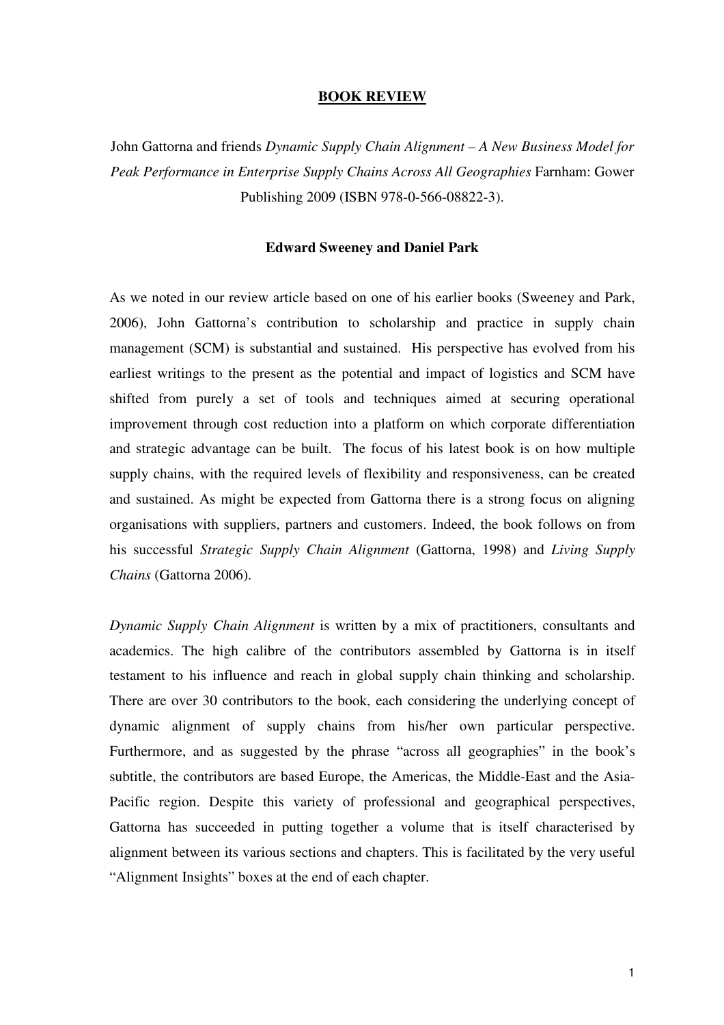#### **BOOK REVIEW**

John Gattorna and friends *Dynamic Supply Chain Alignment – A New Business Model for Peak Performance in Enterprise Supply Chains Across All Geographies* Farnham: Gower Publishing 2009 (ISBN 978-0-566-08822-3).

## **Edward Sweeney and Daniel Park**

As we noted in our review article based on one of his earlier books (Sweeney and Park, 2006), John Gattorna's contribution to scholarship and practice in supply chain management (SCM) is substantial and sustained. His perspective has evolved from his earliest writings to the present as the potential and impact of logistics and SCM have shifted from purely a set of tools and techniques aimed at securing operational improvement through cost reduction into a platform on which corporate differentiation and strategic advantage can be built. The focus of his latest book is on how multiple supply chains, with the required levels of flexibility and responsiveness, can be created and sustained. As might be expected from Gattorna there is a strong focus on aligning organisations with suppliers, partners and customers. Indeed, the book follows on from his successful *Strategic Supply Chain Alignment* (Gattorna, 1998) and *Living Supply Chains* (Gattorna 2006).

*Dynamic Supply Chain Alignment* is written by a mix of practitioners, consultants and academics. The high calibre of the contributors assembled by Gattorna is in itself testament to his influence and reach in global supply chain thinking and scholarship. There are over 30 contributors to the book, each considering the underlying concept of dynamic alignment of supply chains from his/her own particular perspective. Furthermore, and as suggested by the phrase "across all geographies" in the book's subtitle, the contributors are based Europe, the Americas, the Middle-East and the Asia-Pacific region. Despite this variety of professional and geographical perspectives, Gattorna has succeeded in putting together a volume that is itself characterised by alignment between its various sections and chapters. This is facilitated by the very useful "Alignment Insights" boxes at the end of each chapter.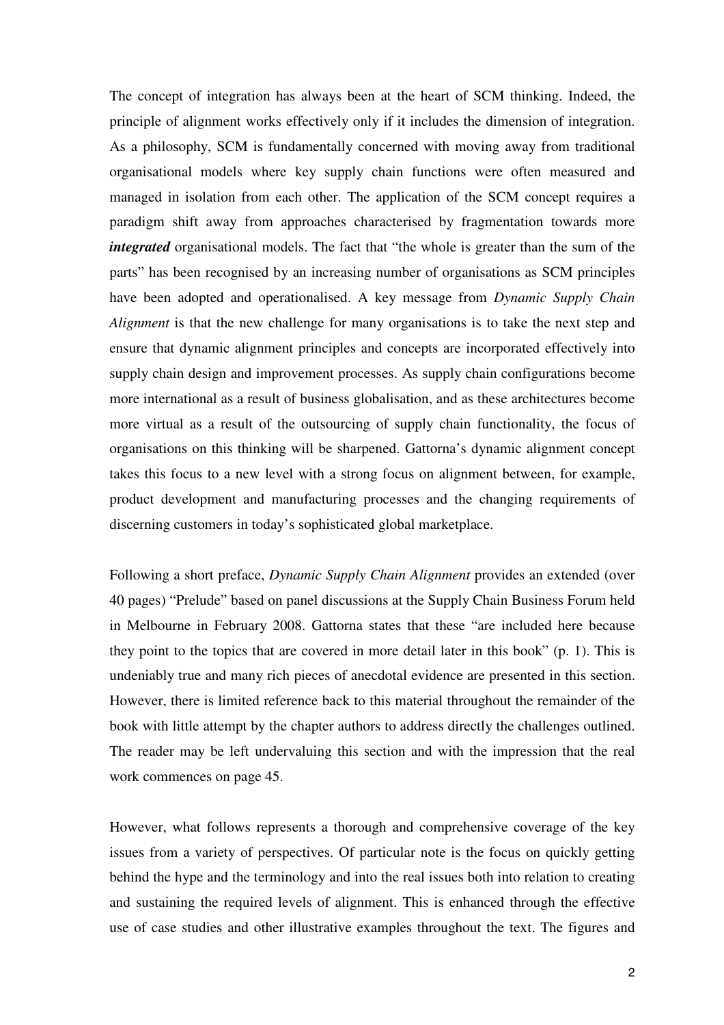The concept of integration has always been at the heart of SCM thinking. Indeed, the principle of alignment works effectively only if it includes the dimension of integration. As a philosophy, SCM is fundamentally concerned with moving away from traditional organisational models where key supply chain functions were often measured and managed in isolation from each other. The application of the SCM concept requires a paradigm shift away from approaches characterised by fragmentation towards more *integrated* organisational models. The fact that "the whole is greater than the sum of the parts" has been recognised by an increasing number of organisations as SCM principles have been adopted and operationalised. A key message from *Dynamic Supply Chain Alignment* is that the new challenge for many organisations is to take the next step and ensure that dynamic alignment principles and concepts are incorporated effectively into supply chain design and improvement processes. As supply chain configurations become more international as a result of business globalisation, and as these architectures become more virtual as a result of the outsourcing of supply chain functionality, the focus of organisations on this thinking will be sharpened. Gattorna's dynamic alignment concept takes this focus to a new level with a strong focus on alignment between, for example, product development and manufacturing processes and the changing requirements of discerning customers in today's sophisticated global marketplace.

Following a short preface, *Dynamic Supply Chain Alignment* provides an extended (over 40 pages) "Prelude" based on panel discussions at the Supply Chain Business Forum held in Melbourne in February 2008. Gattorna states that these "are included here because they point to the topics that are covered in more detail later in this book" (p. 1). This is undeniably true and many rich pieces of anecdotal evidence are presented in this section. However, there is limited reference back to this material throughout the remainder of the book with little attempt by the chapter authors to address directly the challenges outlined. The reader may be left undervaluing this section and with the impression that the real work commences on page 45.

However, what follows represents a thorough and comprehensive coverage of the key issues from a variety of perspectives. Of particular note is the focus on quickly getting behind the hype and the terminology and into the real issues both into relation to creating and sustaining the required levels of alignment. This is enhanced through the effective use of case studies and other illustrative examples throughout the text. The figures and